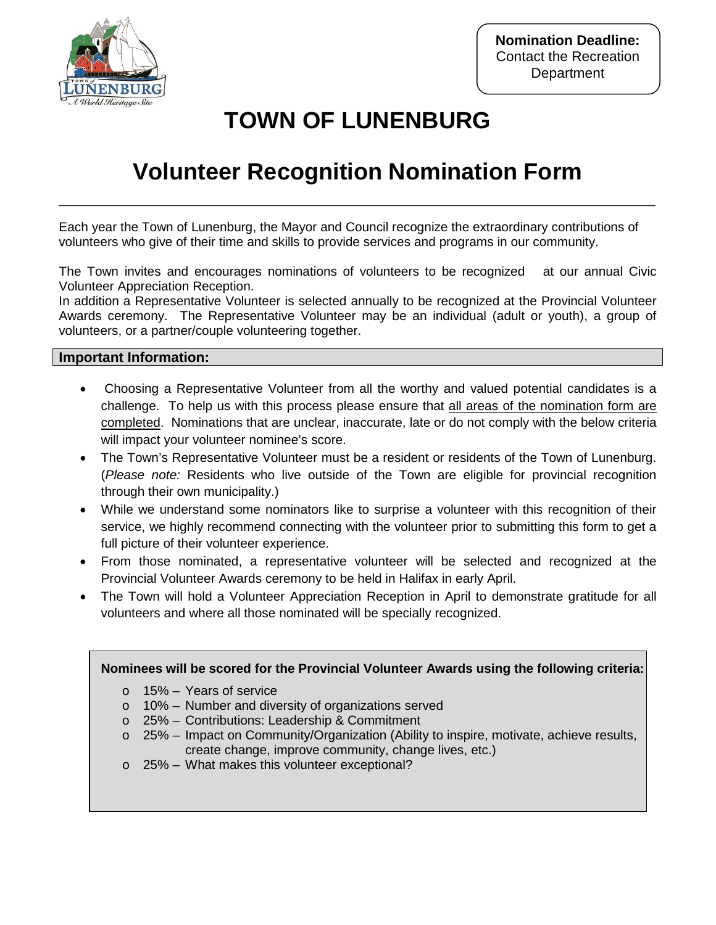

## **TOWN OF LUNENBURG**

## **Volunteer Recognition Nomination Form**

**\_\_\_\_\_\_\_\_\_\_\_\_\_\_\_\_\_\_\_\_\_\_\_\_\_\_\_\_\_\_\_\_\_\_\_\_\_\_\_\_\_\_\_\_\_\_\_\_\_\_\_**

Each year the Town of Lunenburg, the Mayor and Council recognize the extraordinary contributions of volunteers who give of their time and skills to provide services and programs in our community.

The Town invites and encourages nominations of volunteers to be recognized at our annual Civic Volunteer Appreciation Reception.

In addition a Representative Volunteer is selected annually to be recognized at the Provincial Volunteer Awards ceremony. The Representative Volunteer may be an individual (adult or youth), a group of volunteers, or a partner/couple volunteering together.

#### **Important Information:**

- Choosing a Representative Volunteer from all the worthy and valued potential candidates is a challenge. To help us with this process please ensure that all areas of the nomination form are completed. Nominations that are unclear, inaccurate, late or do not comply with the below criteria will impact your volunteer nominee's score.
- The Town's Representative Volunteer must be a resident or residents of the Town of Lunenburg. (*Please note:* Residents who live outside of the Town are eligible for provincial recognition through their own municipality.)
- While we understand some nominators like to surprise a volunteer with this recognition of their service, we highly recommend connecting with the volunteer prior to submitting this form to get a full picture of their volunteer experience.
- From those nominated, a representative volunteer will be selected and recognized at the Provincial Volunteer Awards ceremony to be held in Halifax in early April.
- The Town will hold a Volunteer Appreciation Reception in April to demonstrate gratitude for all volunteers and where all those nominated will be specially recognized.

#### **Nominees will be scored for the Provincial Volunteer Awards using the following criteria:**

- o 15% Years of service
- o 10% Number and diversity of organizations served
- o 25% Contributions: Leadership & Commitment
- $\circ$  25% Impact on Community/Organization (Ability to inspire, motivate, achieve results, create change, improve community, change lives, etc.)
- o 25% What makes this volunteer exceptional?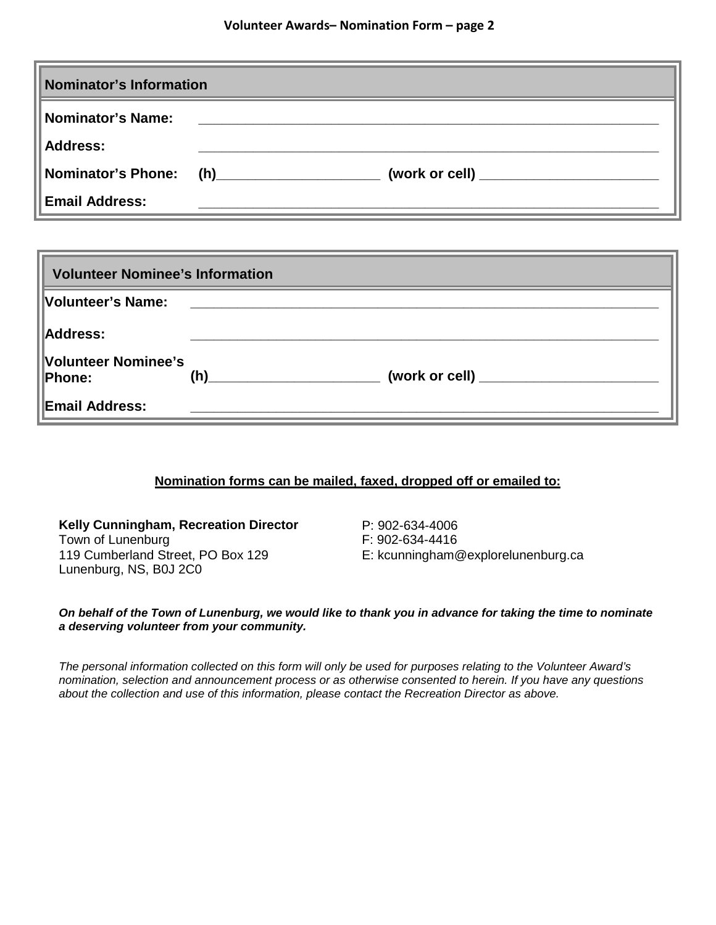| Nominator's Information   |     |  |
|---------------------------|-----|--|
| Nominator's Name:         |     |  |
| <b>Address:</b>           |     |  |
| <b>Nominator's Phone:</b> | (h) |  |
| <b>Email Address:</b>     |     |  |

| <b>Volunteer Nominee's Information</b> |     |  |
|----------------------------------------|-----|--|
| Volunteer's Name:                      |     |  |
| Address:                               |     |  |
| Volunteer Nominee's<br>Phone:          | (h) |  |
| <b>Email Address:</b>                  |     |  |

#### **Nomination forms can be mailed, faxed, dropped off or emailed to:**

**Kelly Cunningham, Recreation Director** Town of Lunenburg 119 Cumberland Street, PO Box 129 Lunenburg, NS, B0J 2C0

P: 902-634-4006 F: 902-634-4416 E: kcunningham@explorelunenburg.ca

#### *On behalf of the Town of Lunenburg, we would like to thank you in advance for taking the time to nominate a deserving volunteer from your community.*

*The personal information collected on this form will only be used for purposes relating to the Volunteer Award's nomination, selection and announcement process or as otherwise consented to herein. If you have any questions about the collection and use of this information, please contact the Recreation Director as above.*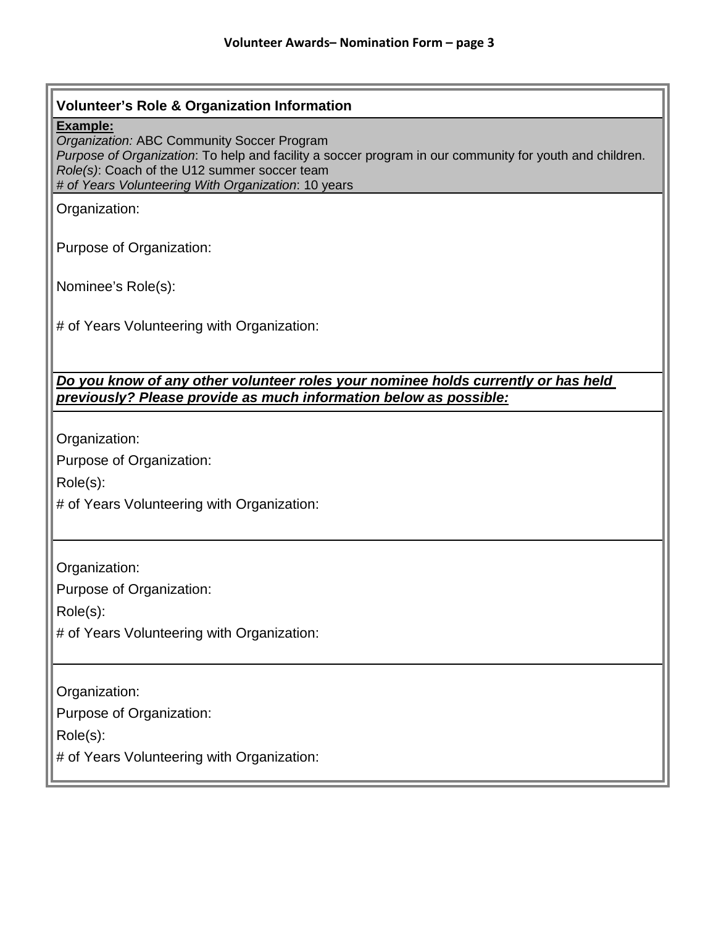# **Volunteer's Role & Organization Information Example:** *Organization:* ABC Community Soccer Program *Purpose of Organization*: To help and facility a soccer program in our community for youth and children. *Role(s)*: Coach of the U12 summer soccer team *# of Years Volunteering With Organization*: 10 years Organization: Purpose of Organization: Nominee's Role(s): # of Years Volunteering with Organization: *Do you know of any other volunteer roles your nominee holds currently or has held previously? Please provide as much information below as possible:* Organization: Purpose of Organization: Role(s): # of Years Volunteering with Organization: Organization: Purpose of Organization: Role(s): # of Years Volunteering with Organization: Organization: Purpose of Organization: Role(s): # of Years Volunteering with Organization: